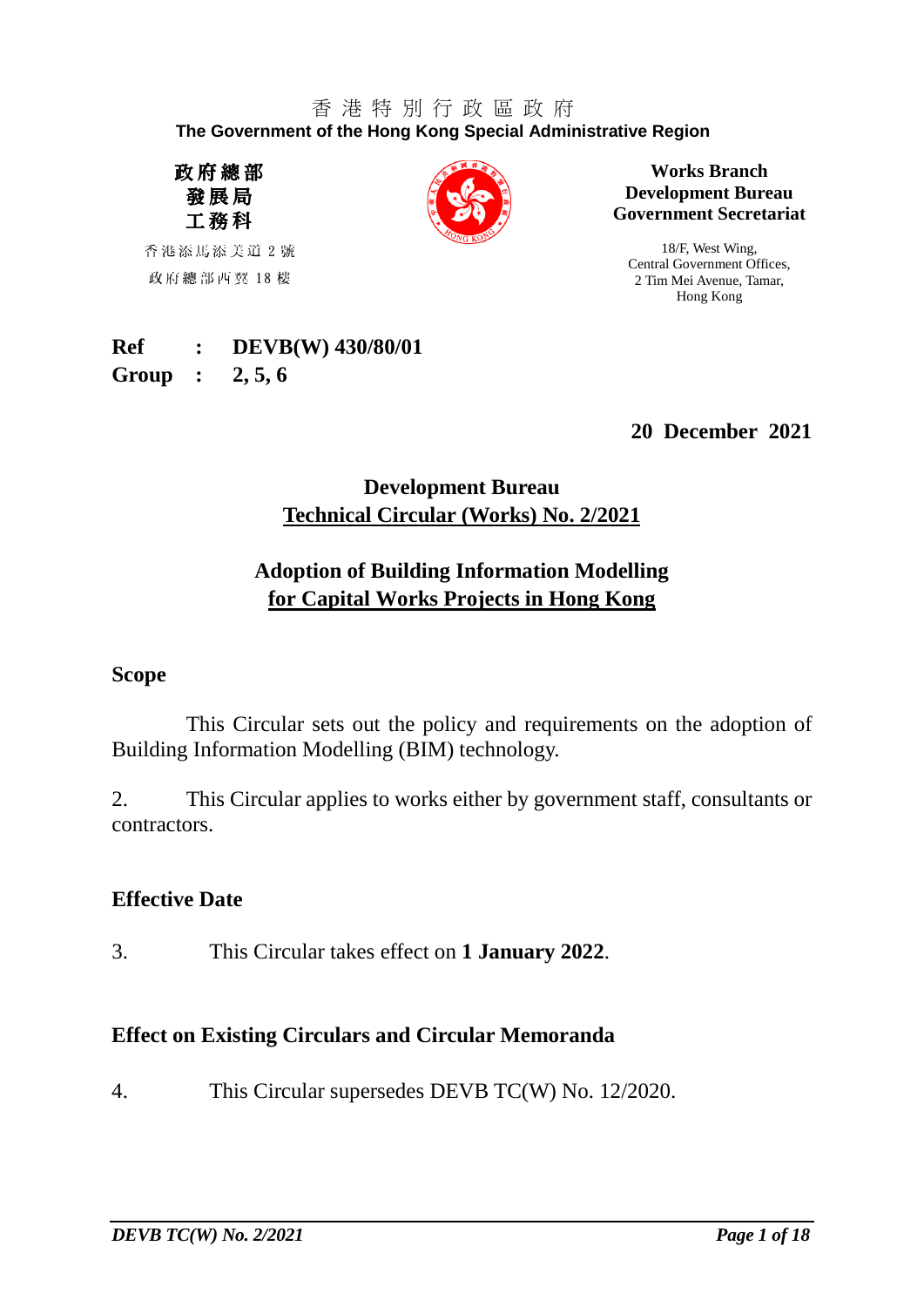#### 香 港 特 別 行 政 區 政 府 **The Government of the Hong Kong Special Administrative Region**

政府總部 發展局 工務科

香港添馬添美道 2 號 政府總部西翼 18 樓



**Works Branch Development Bureau Government Secretariat**

18/F, West Wing, Central Government Offices, 2 Tim Mei Avenue, Tamar, Hong Kong

#### **Ref : DEVB(W) 430/80/01 Group : 2, 5, 6**

**20 December 2021**

## **Development Bureau Technical Circular (Works) No. 2/2021**

## **Adoption of Building Information Modelling for Capital Works Projects in Hong Kong**

### **Scope**

This Circular sets out the policy and requirements on the adoption of Building Information Modelling (BIM) technology.

2. This Circular applies to works either by government staff, consultants or contractors.

### **Effective Date**

3. This Circular takes effect on **1 January 2022**.

## **Effect on Existing Circulars and Circular Memoranda**

4. This Circular supersedes DEVB TC(W) No. 12/2020.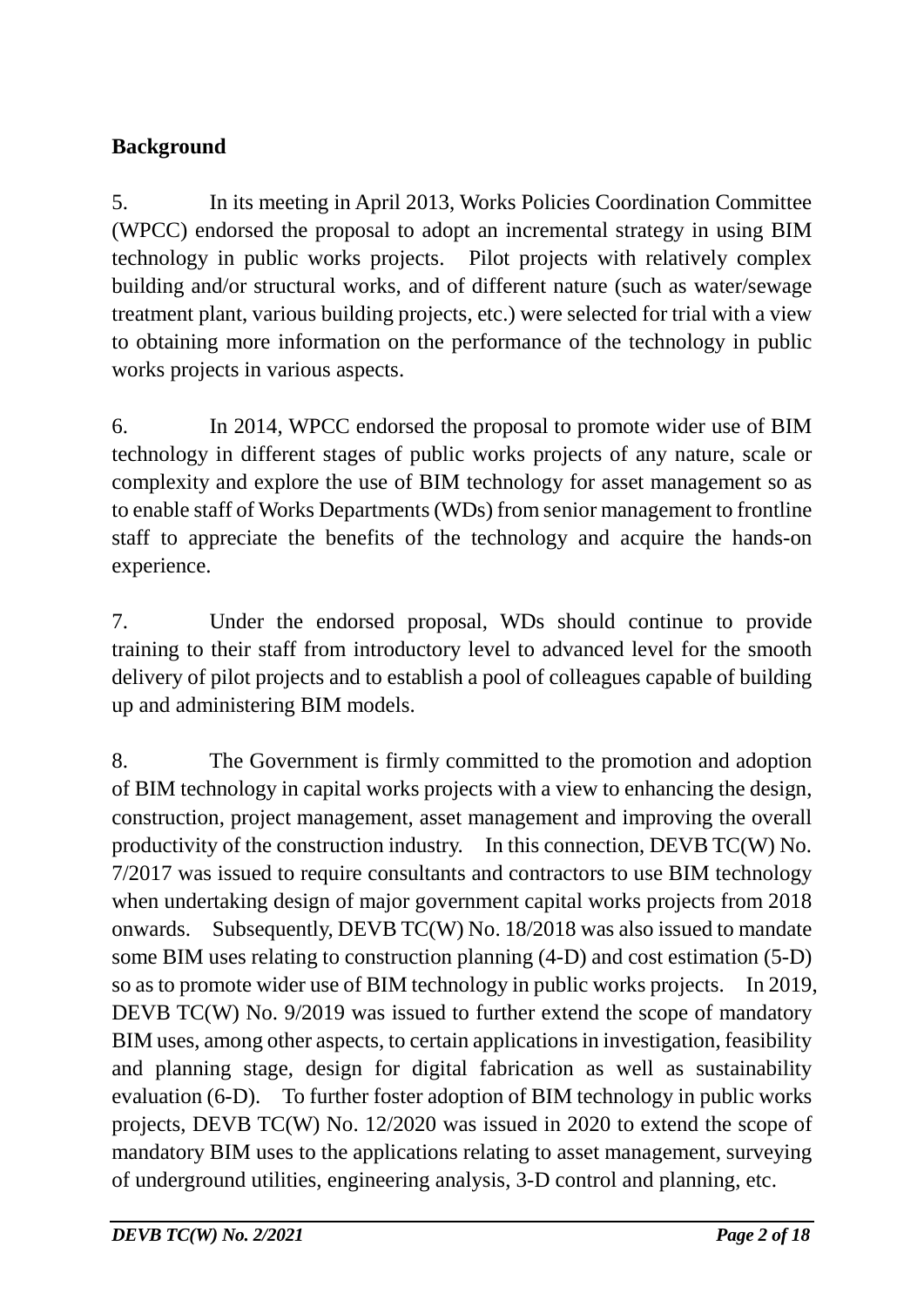# **Background**

5. In its meeting in April 2013, Works Policies Coordination Committee (WPCC) endorsed the proposal to adopt an incremental strategy in using BIM technology in public works projects. Pilot projects with relatively complex building and/or structural works, and of different nature (such as water/sewage treatment plant, various building projects, etc.) were selected for trial with a view to obtaining more information on the performance of the technology in public works projects in various aspects.

6. In 2014, WPCC endorsed the proposal to promote wider use of BIM technology in different stages of public works projects of any nature, scale or complexity and explore the use of BIM technology for asset management so as to enable staff of Works Departments (WDs) from senior management to frontline staff to appreciate the benefits of the technology and acquire the hands-on experience.

7. Under the endorsed proposal, WDs should continue to provide training to their staff from introductory level to advanced level for the smooth delivery of pilot projects and to establish a pool of colleagues capable of building up and administering BIM models.

8. The Government is firmly committed to the promotion and adoption of BIM technology in capital works projects with a view to enhancing the design, construction, project management, asset management and improving the overall productivity of the construction industry. In this connection, DEVB TC(W) No. 7/2017 was issued to require consultants and contractors to use BIM technology when undertaking design of major government capital works projects from 2018 onwards. Subsequently, DEVB TC(W) No. 18/2018 was also issued to mandate some BIM uses relating to construction planning (4-D) and cost estimation (5-D) so as to promote wider use of BIM technology in public works projects. In 2019, DEVB TC(W) No. 9/2019 was issued to further extend the scope of mandatory BIM uses, among other aspects, to certain applications in investigation, feasibility and planning stage, design for digital fabrication as well as sustainability evaluation (6-D). To further foster adoption of BIM technology in public works projects, DEVB TC(W) No. 12/2020 was issued in 2020 to extend the scope of mandatory BIM uses to the applications relating to asset management, surveying of underground utilities, engineering analysis, 3-D control and planning, etc.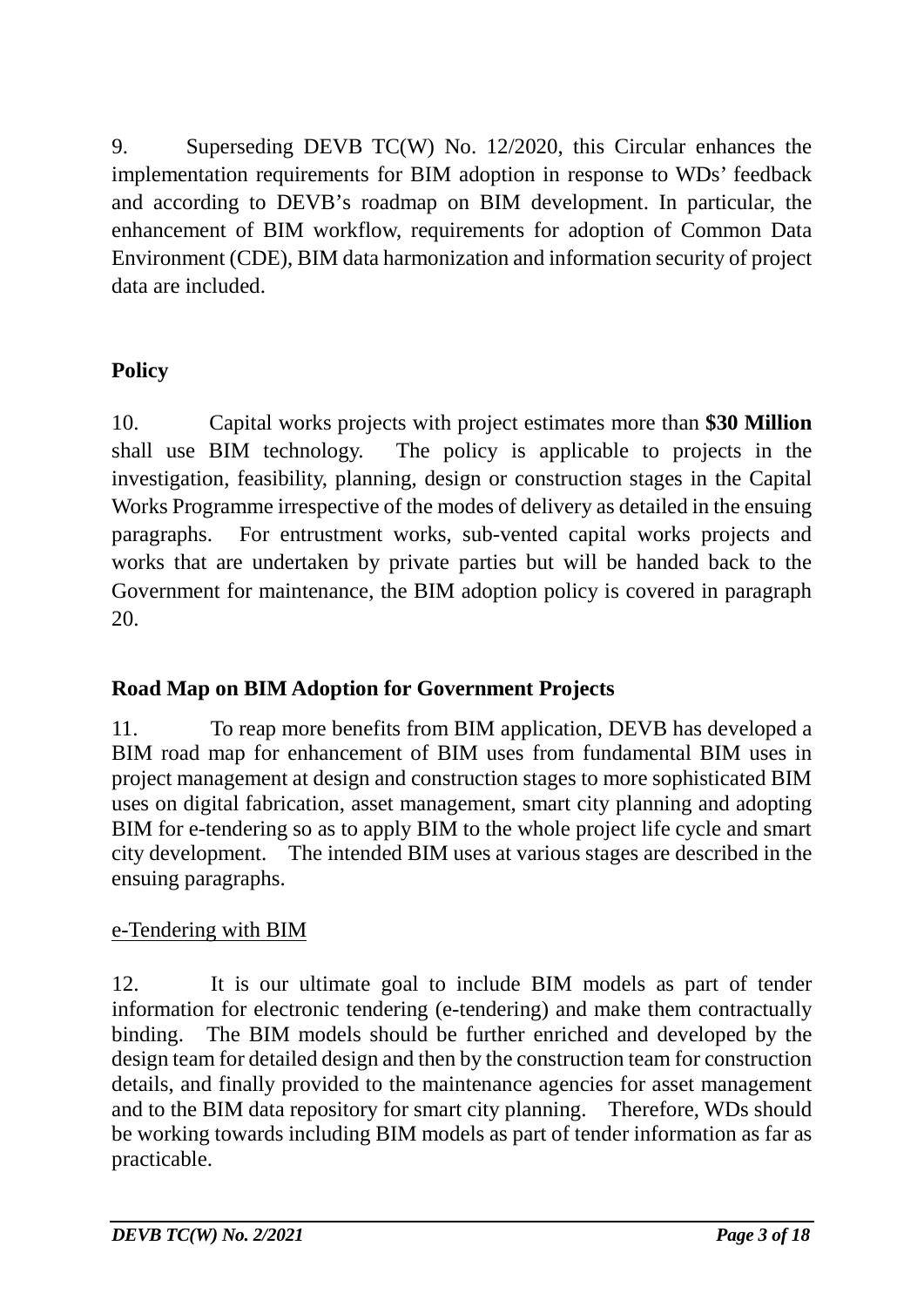9. Superseding DEVB TC(W) No. 12/2020, this Circular enhances the implementation requirements for BIM adoption in response to WDs' feedback and according to DEVB's roadmap on BIM development. In particular, the enhancement of BIM workflow, requirements for adoption of Common Data Environment (CDE), BIM data harmonization and information security of project data are included.

# **Policy**

10. Capital works projects with project estimates more than **\$30 Million** shall use BIM technology. The policy is applicable to projects in the investigation, feasibility, planning, design or construction stages in the Capital Works Programme irrespective of the modes of delivery as detailed in the ensuing paragraphs. For entrustment works, sub-vented capital works projects and works that are undertaken by private parties but will be handed back to the Government for maintenance, the BIM adoption policy is covered in paragraph 20.

## **Road Map on BIM Adoption for Government Projects**

11. To reap more benefits from BIM application, DEVB has developed a BIM road map for enhancement of BIM uses from fundamental BIM uses in project management at design and construction stages to more sophisticated BIM uses on digital fabrication, asset management, smart city planning and adopting BIM for e-tendering so as to apply BIM to the whole project life cycle and smart city development. The intended BIM uses at various stages are described in the ensuing paragraphs.

## e-Tendering with BIM

12. It is our ultimate goal to include BIM models as part of tender information for electronic tendering (e-tendering) and make them contractually binding. The BIM models should be further enriched and developed by the design team for detailed design and then by the construction team for construction details, and finally provided to the maintenance agencies for asset management and to the BIM data repository for smart city planning. Therefore, WDs should be working towards including BIM models as part of tender information as far as practicable.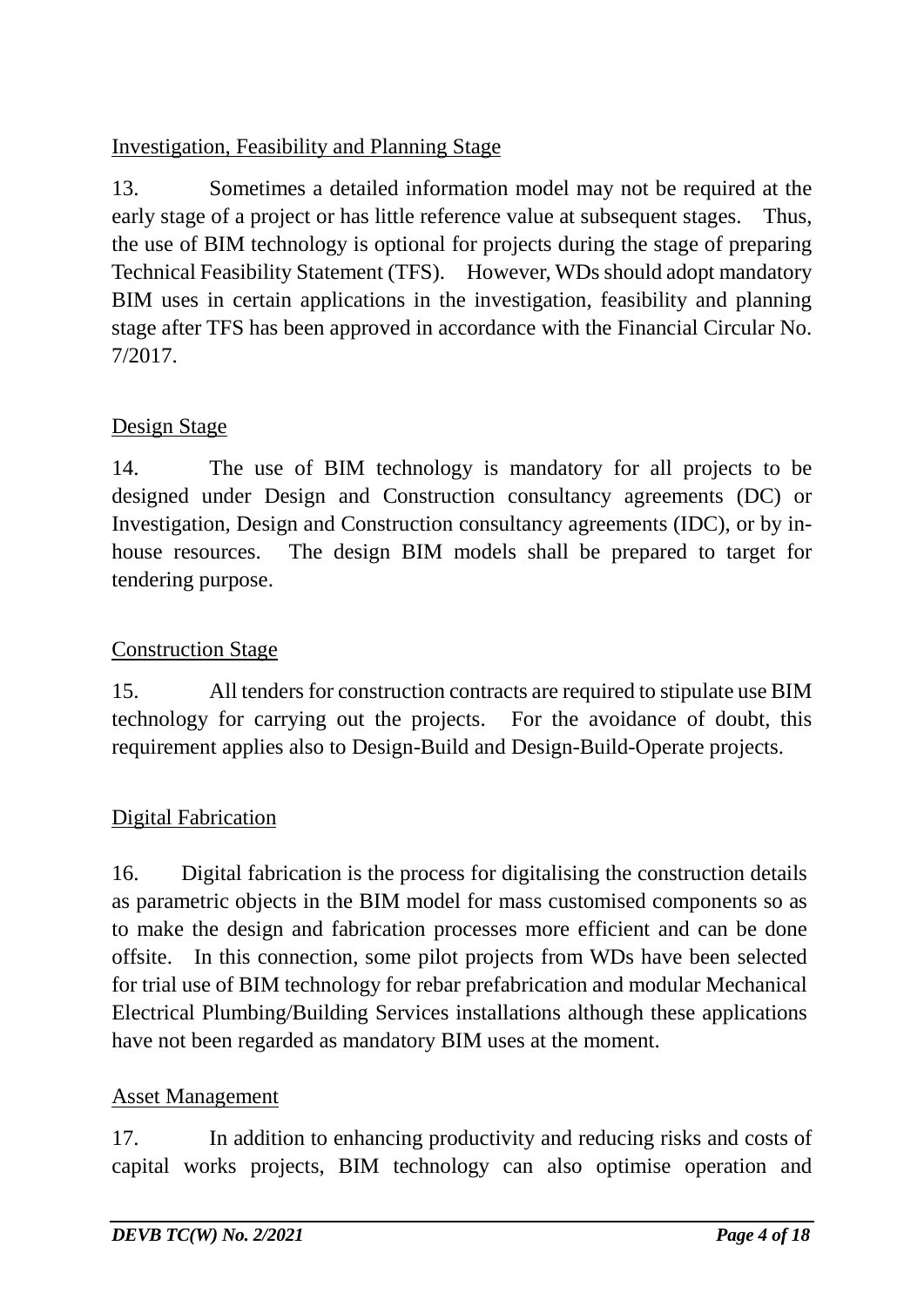## Investigation, Feasibility and Planning Stage

13. Sometimes a detailed information model may not be required at the early stage of a project or has little reference value at subsequent stages. Thus, the use of BIM technology is optional for projects during the stage of preparing Technical Feasibility Statement (TFS). However, WDs should adopt mandatory BIM uses in certain applications in the investigation, feasibility and planning stage after TFS has been approved in accordance with the Financial Circular No. 7/2017.

## Design Stage

14. The use of BIM technology is mandatory for all projects to be designed under Design and Construction consultancy agreements (DC) or Investigation, Design and Construction consultancy agreements (IDC), or by inhouse resources. The design BIM models shall be prepared to target for tendering purpose.

## Construction Stage

15. All tenders for construction contracts are required to stipulate use BIM technology for carrying out the projects. For the avoidance of doubt, this requirement applies also to Design-Build and Design-Build-Operate projects.

## Digital Fabrication

16. Digital fabrication is the process for digitalising the construction details as parametric objects in the BIM model for mass customised components so as to make the design and fabrication processes more efficient and can be done offsite. In this connection, some pilot projects from WDs have been selected for trial use of BIM technology for rebar prefabrication and modular Mechanical Electrical Plumbing/Building Services installations although these applications have not been regarded as mandatory BIM uses at the moment.

## Asset Management

17. In addition to enhancing productivity and reducing risks and costs of capital works projects, BIM technology can also optimise operation and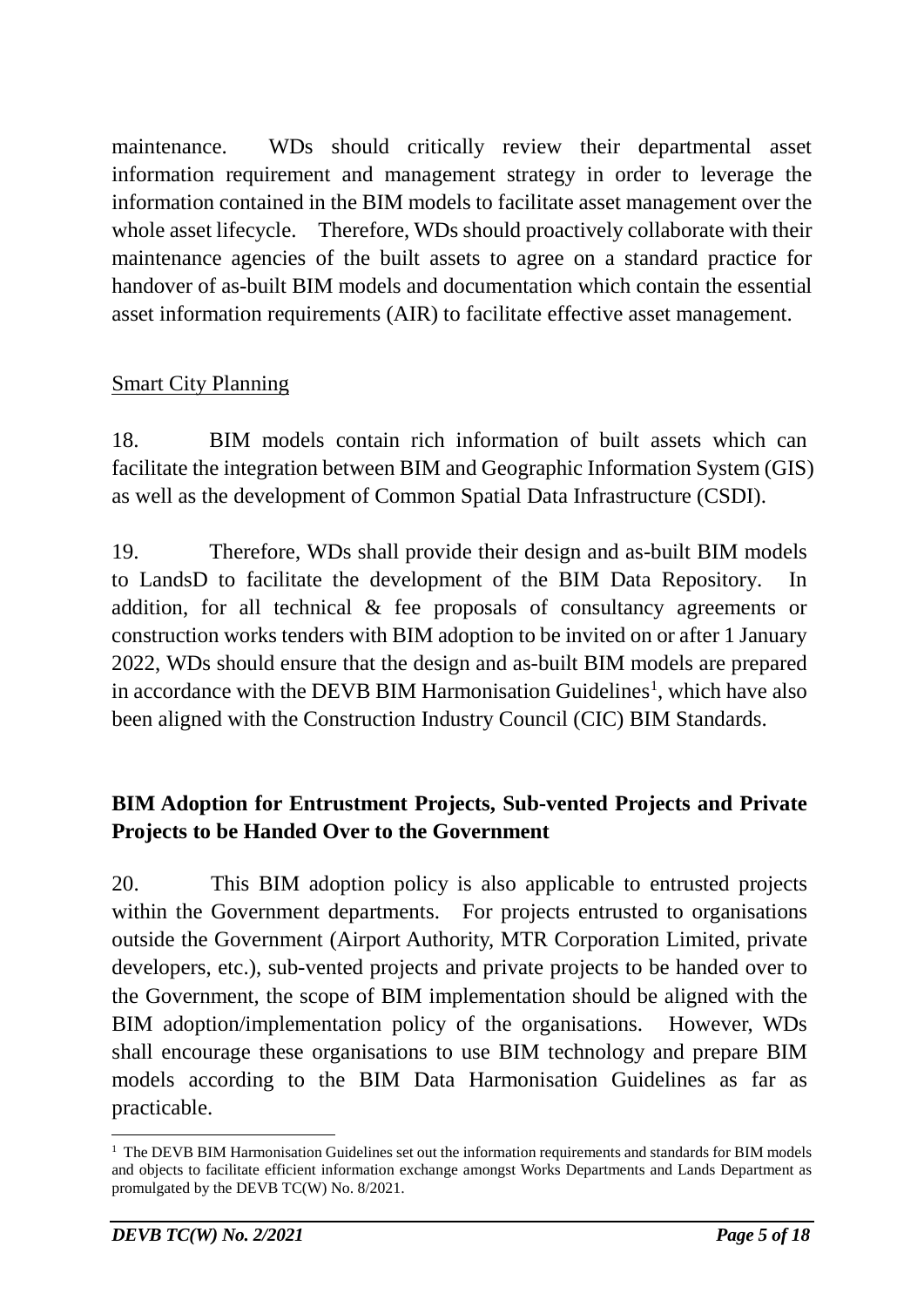maintenance. WDs should critically review their departmental asset information requirement and management strategy in order to leverage the information contained in the BIM models to facilitate asset management over the whole asset lifecycle. Therefore, WDs should proactively collaborate with their maintenance agencies of the built assets to agree on a standard practice for handover of as-built BIM models and documentation which contain the essential asset information requirements (AIR) to facilitate effective asset management.

## Smart City Planning

18. BIM models contain rich information of built assets which can facilitate the integration between BIM and Geographic Information System (GIS) as well as the development of Common Spatial Data Infrastructure (CSDI).

19. Therefore, WDs shall provide their design and as-built BIM models to LandsD to facilitate the development of the BIM Data Repository. addition, for all technical & fee proposals of consultancy agreements or construction works tenders with BIM adoption to be invited on or after 1 January 2022, WDs should ensure that the design and as-built BIM models are prepared in accordance with the DEVB BIM Harmonisation Guidelines<sup>[1](#page-4-0)</sup>, which have also been aligned with the Construction Industry Council (CIC) BIM Standards.

## **BIM Adoption for Entrustment Projects, Sub-vented Projects and Private Projects to be Handed Over to the Government**

20. This BIM adoption policy is also applicable to entrusted projects within the Government departments. For projects entrusted to organisations outside the Government (Airport Authority, MTR Corporation Limited, private developers, etc.), sub-vented projects and private projects to be handed over to the Government, the scope of BIM implementation should be aligned with the BIM adoption/implementation policy of the organisations. However, WDs shall encourage these organisations to use BIM technology and prepare BIM models according to the BIM Data Harmonisation Guidelines as far as practicable.

<span id="page-4-0"></span> $1$  The DEVB BIM Harmonisation Guidelines set out the information requirements and standards for BIM models and objects to facilitate efficient information exchange amongst Works Departments and Lands Department as promulgated by the DEVB TC(W) No. 8/2021.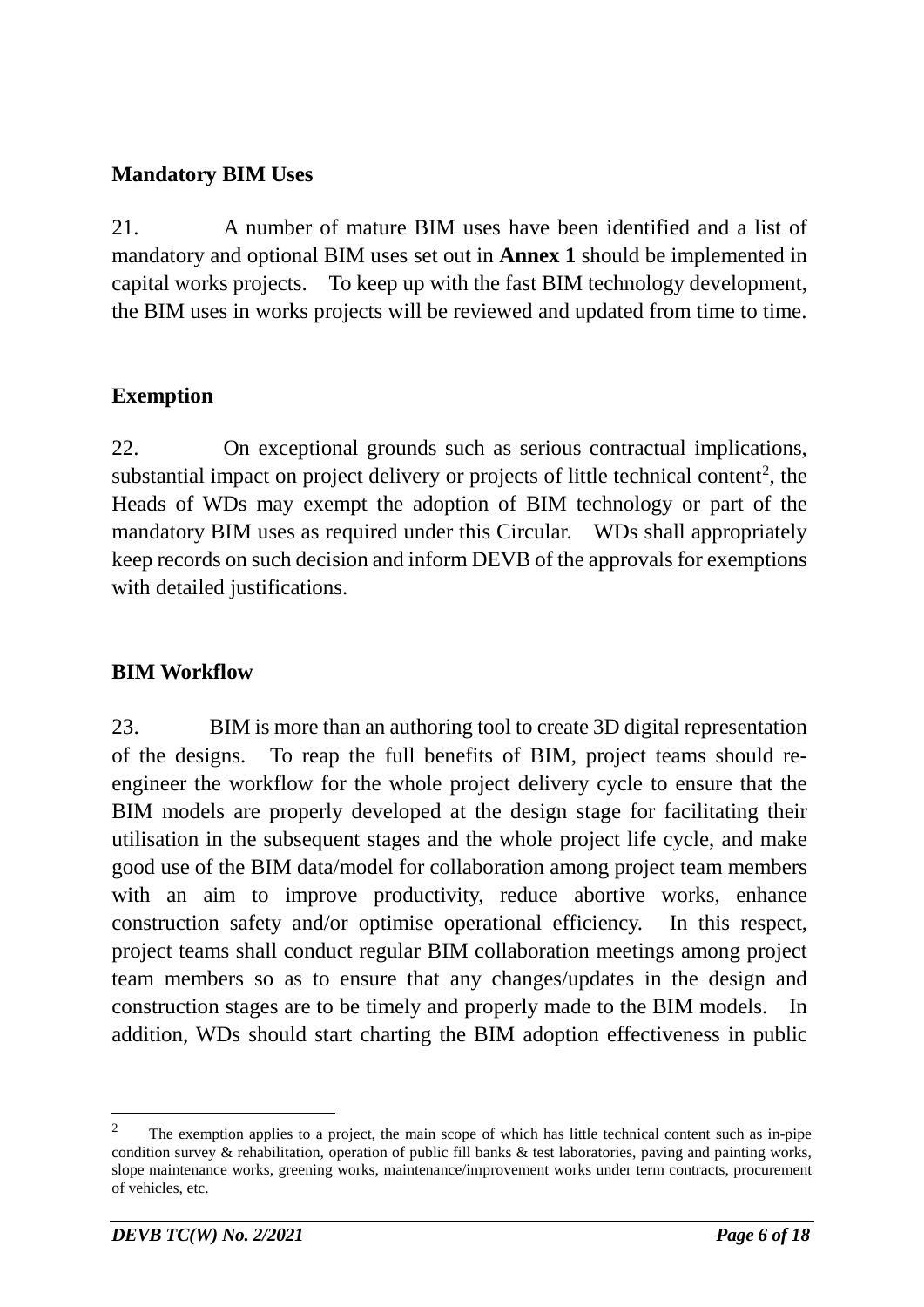### **Mandatory BIM Uses**

21. A number of mature BIM uses have been identified and a list of mandatory and optional BIM uses set out in **Annex 1** should be implemented in capital works projects. To keep up with the fast BIM technology development, the BIM uses in works projects will be reviewed and updated from time to time.

## **Exemption**

22. On exceptional grounds such as serious contractual implications, substantial impact on project delivery or projects of little technical content<sup>[2](#page-5-0)</sup>, the Heads of WDs may exempt the adoption of BIM technology or part of the mandatory BIM uses as required under this Circular. WDs shall appropriately keep records on such decision and inform DEVB of the approvals for exemptions with detailed justifications.

### **BIM Workflow**

23. BIM is more than an authoring tool to create 3D digital representation of the designs. To reap the full benefits of BIM, project teams should reengineer the workflow for the whole project delivery cycle to ensure that the BIM models are properly developed at the design stage for facilitating their utilisation in the subsequent stages and the whole project life cycle, and make good use of the BIM data/model for collaboration among project team members with an aim to improve productivity, reduce abortive works, enhance construction safety and/or optimise operational efficiency. In this respect, project teams shall conduct regular BIM collaboration meetings among project team members so as to ensure that any changes/updates in the design and construction stages are to be timely and properly made to the BIM models. In addition, WDs should start charting the BIM adoption effectiveness in public

<span id="page-5-0"></span><sup>&</sup>lt;sup>2</sup> The exemption applies to a project, the main scope of which has little technical content such as in-pipe condition survey & rehabilitation, operation of public fill banks & test laboratories, paving and painting works, slope maintenance works, greening works, maintenance/improvement works under term contracts, procurement of vehicles, etc.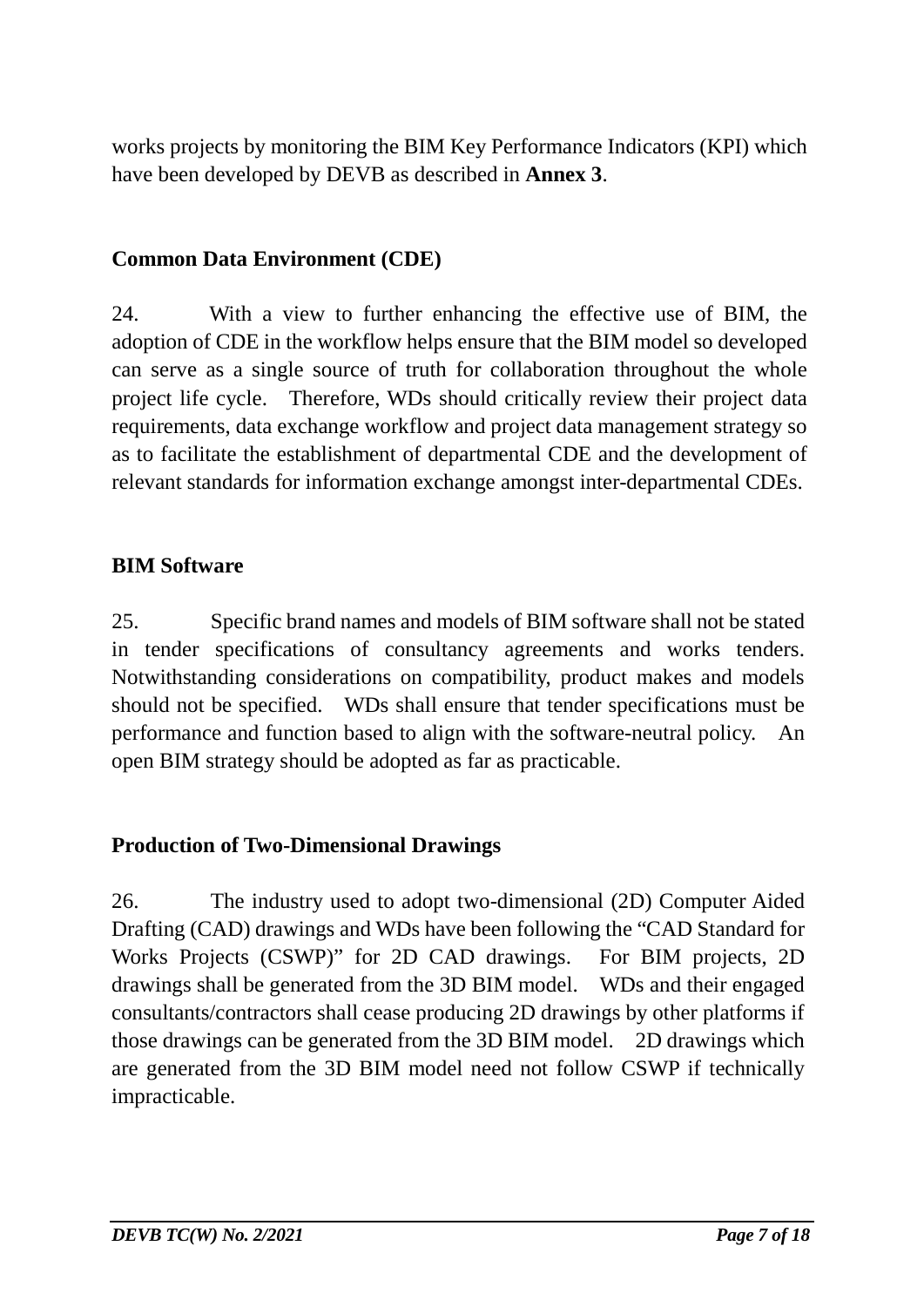works projects by monitoring the BIM Key Performance Indicators (KPI) which have been developed by DEVB as described in **Annex 3**.

### **Common Data Environment (CDE)**

24. With a view to further enhancing the effective use of BIM, the adoption of CDE in the workflow helps ensure that the BIM model so developed can serve as a single source of truth for collaboration throughout the whole project life cycle. Therefore, WDs should critically review their project data requirements, data exchange workflow and project data management strategy so as to facilitate the establishment of departmental CDE and the development of relevant standards for information exchange amongst inter-departmental CDEs.

### **BIM Software**

25. Specific brand names and models of BIM software shall not be stated in tender specifications of consultancy agreements and works tenders. Notwithstanding considerations on compatibility, product makes and models should not be specified. WDs shall ensure that tender specifications must be performance and function based to align with the software-neutral policy. An open BIM strategy should be adopted as far as practicable.

### **Production of Two-Dimensional Drawings**

26. The industry used to adopt two-dimensional (2D) Computer Aided Drafting (CAD) drawings and WDs have been following the "CAD Standard for Works Projects (CSWP)" for 2D CAD drawings. For BIM projects, 2D drawings shall be generated from the 3D BIM model. WDs and their engaged consultants/contractors shall cease producing 2D drawings by other platforms if those drawings can be generated from the 3D BIM model. 2D drawings which are generated from the 3D BIM model need not follow CSWP if technically impracticable.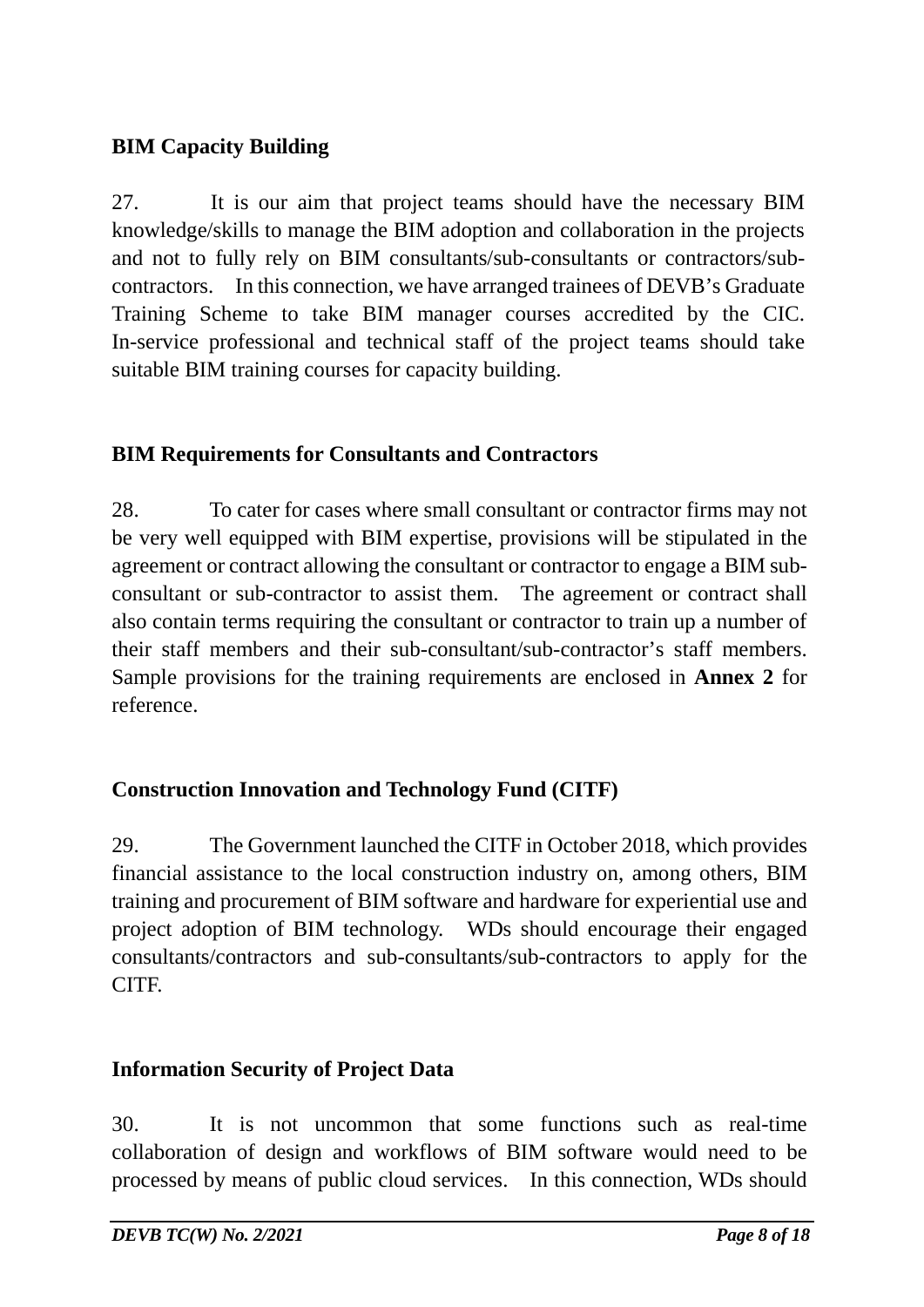## **BIM Capacity Building**

27. It is our aim that project teams should have the necessary BIM knowledge/skills to manage the BIM adoption and collaboration in the projects and not to fully rely on BIM consultants/sub-consultants or contractors/subcontractors. In this connection, we have arranged trainees of DEVB's Graduate Training Scheme to take BIM manager courses accredited by the CIC. In-service professional and technical staff of the project teams should take suitable BIM training courses for capacity building.

## **BIM Requirements for Consultants and Contractors**

28. To cater for cases where small consultant or contractor firms may not be very well equipped with BIM expertise, provisions will be stipulated in the agreement or contract allowing the consultant or contractor to engage a BIM subconsultant or sub-contractor to assist them. The agreement or contract shall also contain terms requiring the consultant or contractor to train up a number of their staff members and their sub-consultant/sub-contractor's staff members. Sample provisions for the training requirements are enclosed in **Annex 2** for reference.

## **Construction Innovation and Technology Fund (CITF)**

29. The Government launched the CITF in October 2018, which provides financial assistance to the local construction industry on, among others, BIM training and procurement of BIM software and hardware for experiential use and project adoption of BIM technology. WDs should encourage their engaged consultants/contractors and sub-consultants/sub-contractors to apply for the CITF.

### **Information Security of Project Data**

30. It is not uncommon that some functions such as real-time collaboration of design and workflows of BIM software would need to be processed by means of public cloud services. In this connection, WDs should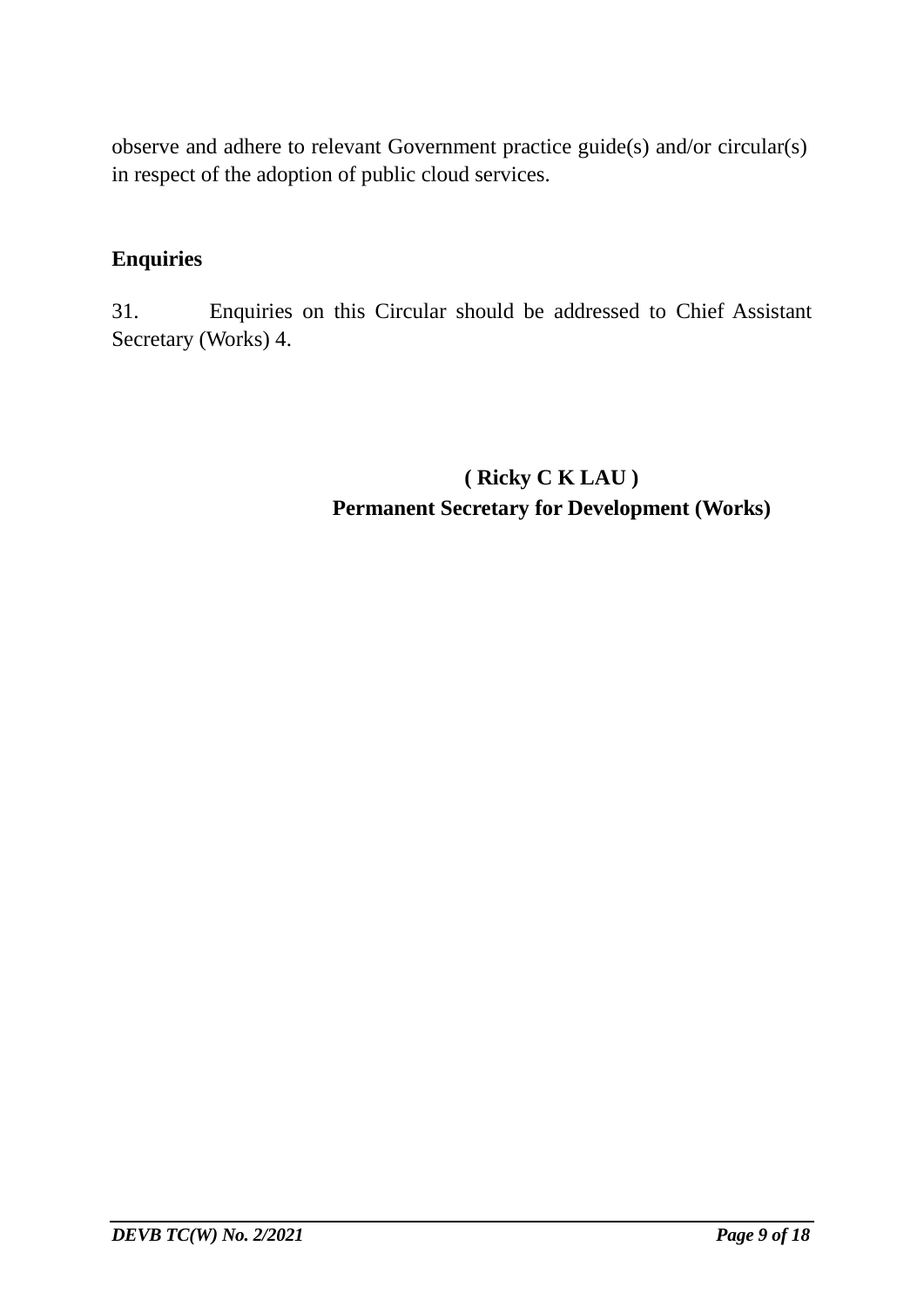observe and adhere to relevant Government practice guide(s) and/or circular(s) in respect of the adoption of public cloud services.

### **Enquiries**

31. Enquiries on this Circular should be addressed to Chief Assistant Secretary (Works) 4.

> **( Ricky C K LAU ) Permanent Secretary for Development (Works)**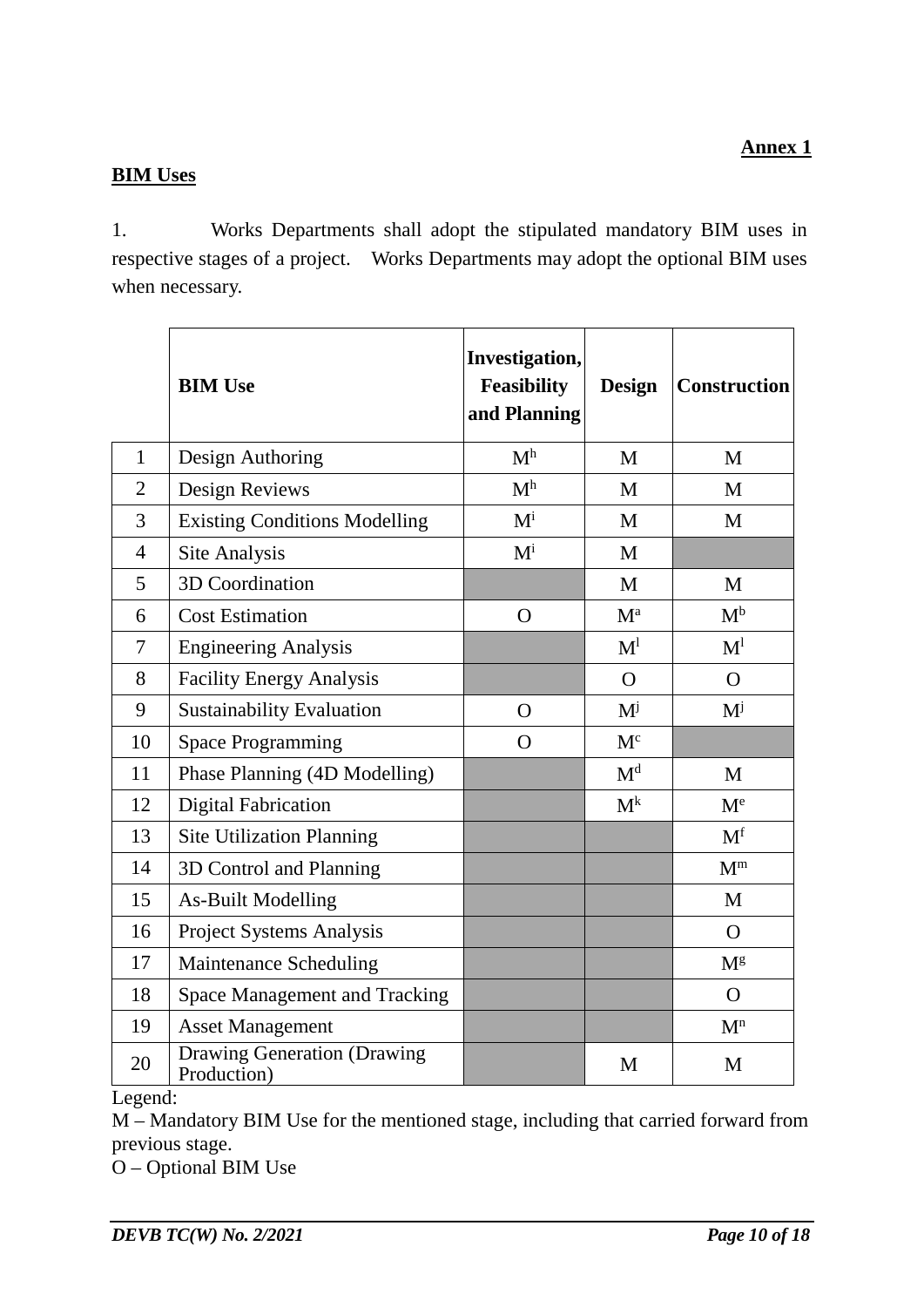#### **BIM Uses**

1. Works Departments shall adopt the stipulated mandatory BIM uses in respective stages of a project. Works Departments may adopt the optional BIM uses when necessary.

|                | <b>BIM Use</b>                                    | Investigation,<br><b>Feasibility</b><br>and Planning | <b>Design</b>  | <b>Construction</b>       |
|----------------|---------------------------------------------------|------------------------------------------------------|----------------|---------------------------|
| $\mathbf{1}$   | Design Authoring                                  | M <sup>h</sup>                                       | M              | M                         |
| $\overline{2}$ | Design Reviews                                    | M <sup>h</sup>                                       | M              | M                         |
| 3              | <b>Existing Conditions Modelling</b>              | $M^{i}$                                              | M              | M                         |
| $\overline{4}$ | Site Analysis                                     | $M^{i}$                                              | M              |                           |
| 5              | 3D Coordination                                   |                                                      | M              | M                         |
| 6              | <b>Cost Estimation</b>                            | $\Omega$                                             | $M^a$          | $M^b$                     |
| 7              | <b>Engineering Analysis</b>                       |                                                      | M <sup>1</sup> | $\mathbf{M}^{\mathbf{l}}$ |
| 8              | <b>Facility Energy Analysis</b>                   |                                                      | $\Omega$       | $\Omega$                  |
| 9              | <b>Sustainability Evaluation</b>                  | $\overline{O}$                                       | $M^{j}$        | $M^{j}$                   |
| 10             | <b>Space Programming</b>                          | $\Omega$                                             | $M^c$          |                           |
| 11             | Phase Planning (4D Modelling)                     |                                                      | M <sup>d</sup> | M                         |
| 12             | <b>Digital Fabrication</b>                        |                                                      | $M^k$          | $M^e$                     |
| 13             | <b>Site Utilization Planning</b>                  |                                                      |                | M <sup>f</sup>            |
| 14             | 3D Control and Planning                           |                                                      |                | $M^m$                     |
| 15             | <b>As-Built Modelling</b>                         |                                                      |                | M                         |
| 16             | Project Systems Analysis                          |                                                      |                | $\Omega$                  |
| 17             | Maintenance Scheduling                            |                                                      |                | $M^g$                     |
| 18             | <b>Space Management and Tracking</b>              |                                                      |                | $\mathbf{O}$              |
| 19             | <b>Asset Management</b>                           |                                                      |                | $\mathbf{M}^n$            |
| 20             | <b>Drawing Generation (Drawing</b><br>Production) |                                                      | M              | M                         |

Legend:

M – Mandatory BIM Use for the mentioned stage, including that carried forward from previous stage.

O – Optional BIM Use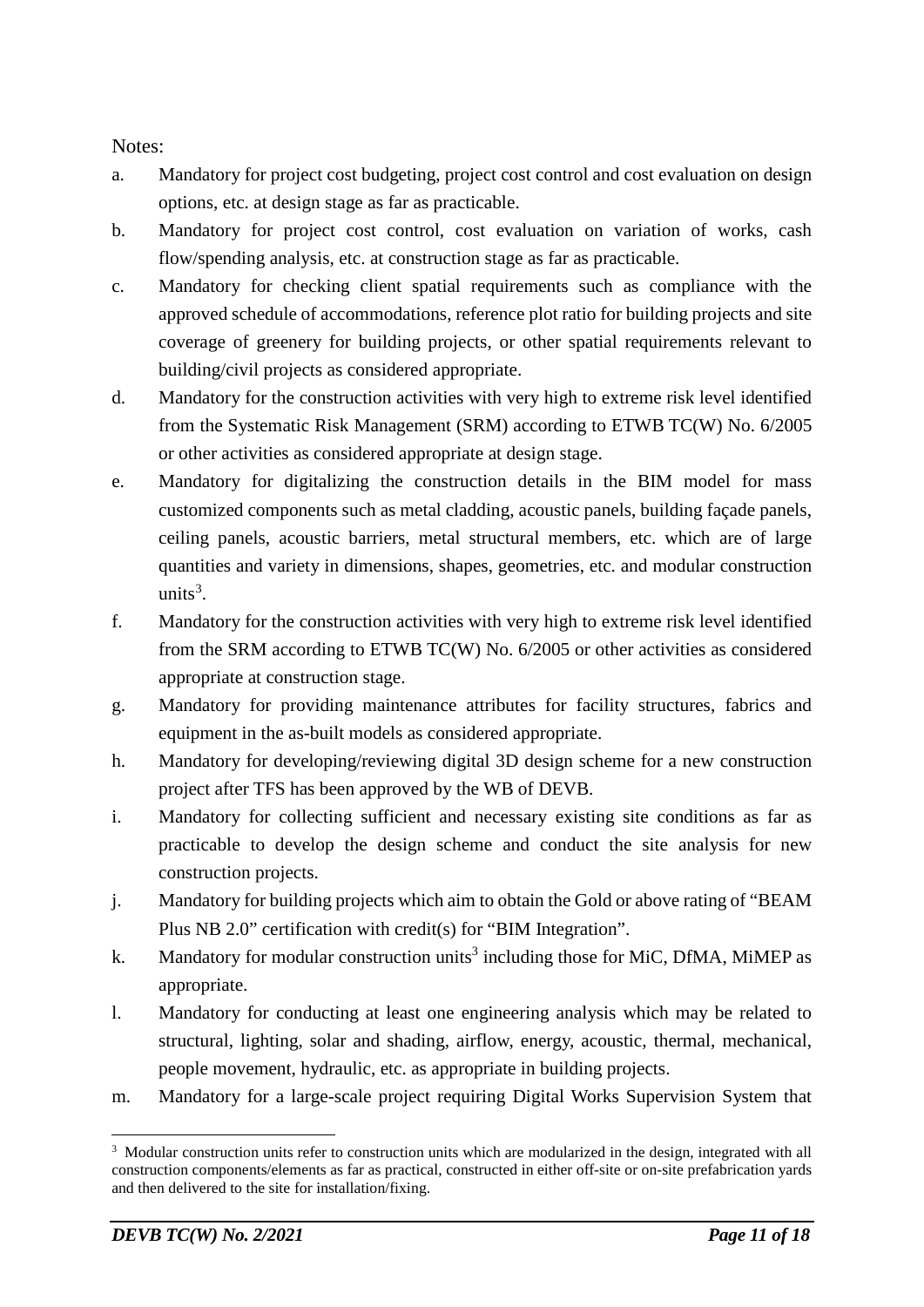Notes:

- a. Mandatory for project cost budgeting, project cost control and cost evaluation on design options, etc. at design stage as far as practicable.
- b. Mandatory for project cost control, cost evaluation on variation of works, cash flow/spending analysis, etc. at construction stage as far as practicable.
- c. Mandatory for checking client spatial requirements such as compliance with the approved schedule of accommodations, reference plot ratio for building projects and site coverage of greenery for building projects, or other spatial requirements relevant to building/civil projects as considered appropriate.
- d. Mandatory for the construction activities with very high to extreme risk level identified from the Systematic Risk Management (SRM) according to ETWB TC(W) No. 6/2005 or other activities as considered appropriate at design stage.
- e. Mandatory for digitalizing the construction details in the BIM model for mass customized components such as metal cladding, acoustic panels, building façade panels, ceiling panels, acoustic barriers, metal structural members, etc. which are of large quantities and variety in dimensions, shapes, geometries, etc. and modular construction units<sup>[3](#page-10-0)</sup>.
- f. Mandatory for the construction activities with very high to extreme risk level identified from the SRM according to ETWB TC(W) No. 6/2005 or other activities as considered appropriate at construction stage.
- g. Mandatory for providing maintenance attributes for facility structures, fabrics and equipment in the as-built models as considered appropriate.
- h. Mandatory for developing/reviewing digital 3D design scheme for a new construction project after TFS has been approved by the WB of DEVB.
- i. Mandatory for collecting sufficient and necessary existing site conditions as far as practicable to develop the design scheme and conduct the site analysis for new construction projects.
- j. Mandatory for building projects which aim to obtain the Gold or above rating of "BEAM Plus NB 2.0" certification with credit(s) for "BIM Integration".
- k. Mandatory for modular construction units<sup>3</sup> including those for MiC, DfMA, MiMEP as appropriate.
- l. Mandatory for conducting at least one engineering analysis which may be related to structural, lighting, solar and shading, airflow, energy, acoustic, thermal, mechanical, people movement, hydraulic, etc. as appropriate in building projects.
- m. Mandatory for a large-scale project requiring Digital Works Supervision System that

<span id="page-10-0"></span><sup>&</sup>lt;sup>3</sup> Modular construction units refer to construction units which are modularized in the design, integrated with all construction components/elements as far as practical, constructed in either off-site or on-site prefabrication yards and then delivered to the site for installation/fixing.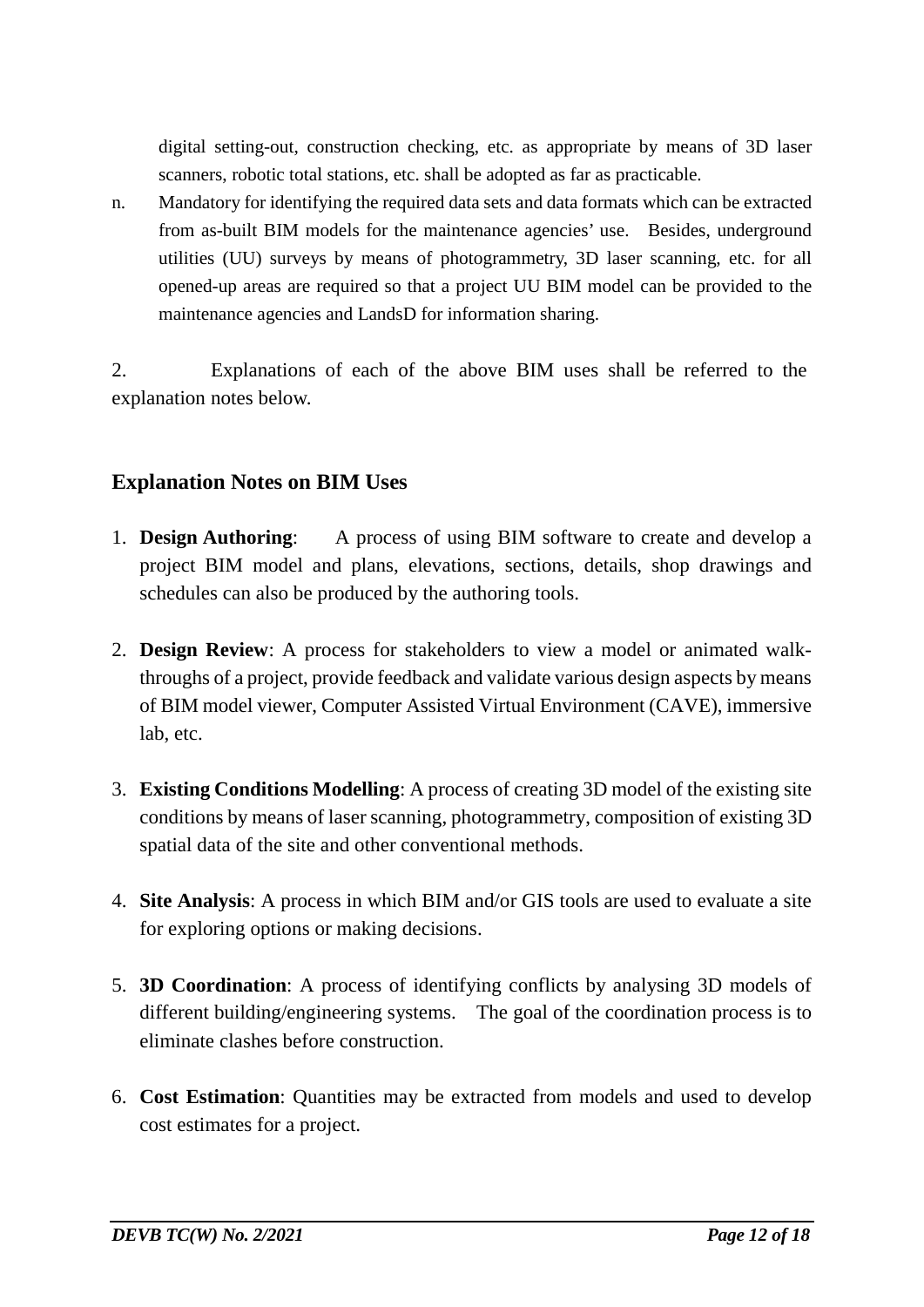digital setting-out, construction checking, etc. as appropriate by means of 3D laser scanners, robotic total stations, etc. shall be adopted as far as practicable.

n. Mandatory for identifying the required data sets and data formats which can be extracted from as-built BIM models for the maintenance agencies' use. Besides, underground utilities (UU) surveys by means of photogrammetry, 3D laser scanning, etc. for all opened-up areas are required so that a project UU BIM model can be provided to the maintenance agencies and LandsD for information sharing.

2. Explanations of each of the above BIM uses shall be referred to the explanation notes below.

### **Explanation Notes on BIM Uses**

- 1. **Design Authoring**: A process of using BIM software to create and develop a project BIM model and plans, elevations, sections, details, shop drawings and schedules can also be produced by the authoring tools.
- 2. **Design Review**: A process for stakeholders to view a model or animated walkthroughs of a project, provide feedback and validate various design aspects by means of BIM model viewer, Computer Assisted Virtual Environment (CAVE), immersive lab, etc.
- 3. **Existing Conditions Modelling**: A process of creating 3D model of the existing site conditions by means of laser scanning, photogrammetry, composition of existing 3D spatial data of the site and other conventional methods.
- 4. **Site Analysis**: A process in which BIM and/or GIS tools are used to evaluate a site for exploring options or making decisions.
- 5. **3D Coordination**: A process of identifying conflicts by analysing 3D models of different building/engineering systems. The goal of the coordination process is to eliminate clashes before construction.
- 6. **Cost Estimation**: Quantities may be extracted from models and used to develop cost estimates for a project.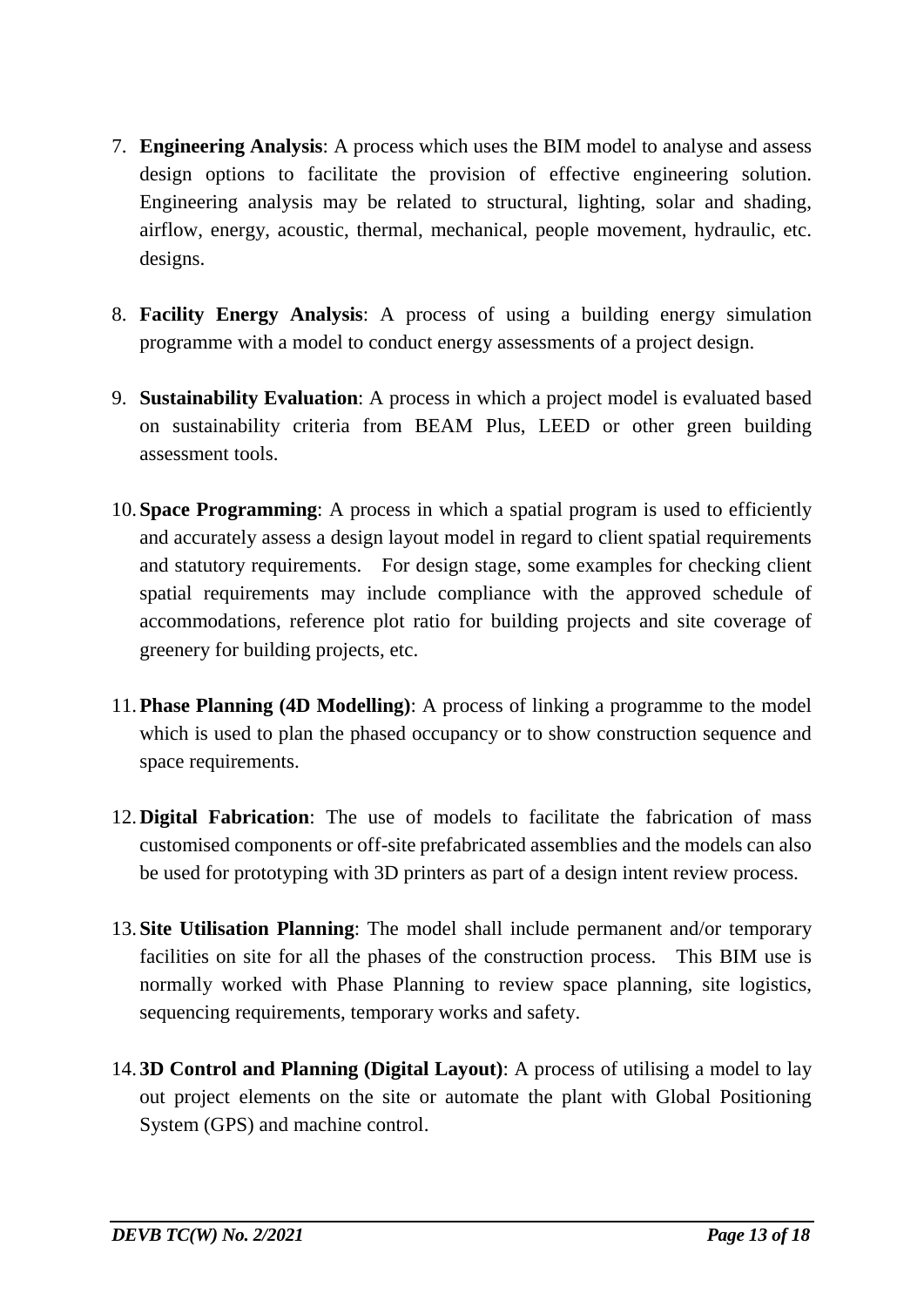- 7. **Engineering Analysis**: A process which uses the BIM model to analyse and assess design options to facilitate the provision of effective engineering solution. Engineering analysis may be related to structural, lighting, solar and shading, airflow, energy, acoustic, thermal, mechanical, people movement, hydraulic, etc. designs.
- 8. **Facility Energy Analysis**: A process of using a building energy simulation programme with a model to conduct energy assessments of a project design.
- 9. **Sustainability Evaluation**: A process in which a project model is evaluated based on sustainability criteria from BEAM Plus, LEED or other green building assessment tools.
- 10. **Space Programming**: A process in which a spatial program is used to efficiently and accurately assess a design layout model in regard to client spatial requirements and statutory requirements. For design stage, some examples for checking client spatial requirements may include compliance with the approved schedule of accommodations, reference plot ratio for building projects and site coverage of greenery for building projects, etc.
- 11.**Phase Planning (4D Modelling)**: A process of linking a programme to the model which is used to plan the phased occupancy or to show construction sequence and space requirements.
- 12.**Digital Fabrication**: The use of models to facilitate the fabrication of mass customised components or off-site prefabricated assemblies and the models can also be used for prototyping with 3D printers as part of a design intent review process.
- 13. **Site Utilisation Planning**: The model shall include permanent and/or temporary facilities on site for all the phases of the construction process. This BIM use is normally worked with Phase Planning to review space planning, site logistics, sequencing requirements, temporary works and safety.
- 14. **3D Control and Planning (Digital Layout)**: A process of utilising a model to lay out project elements on the site or automate the plant with Global Positioning System (GPS) and machine control.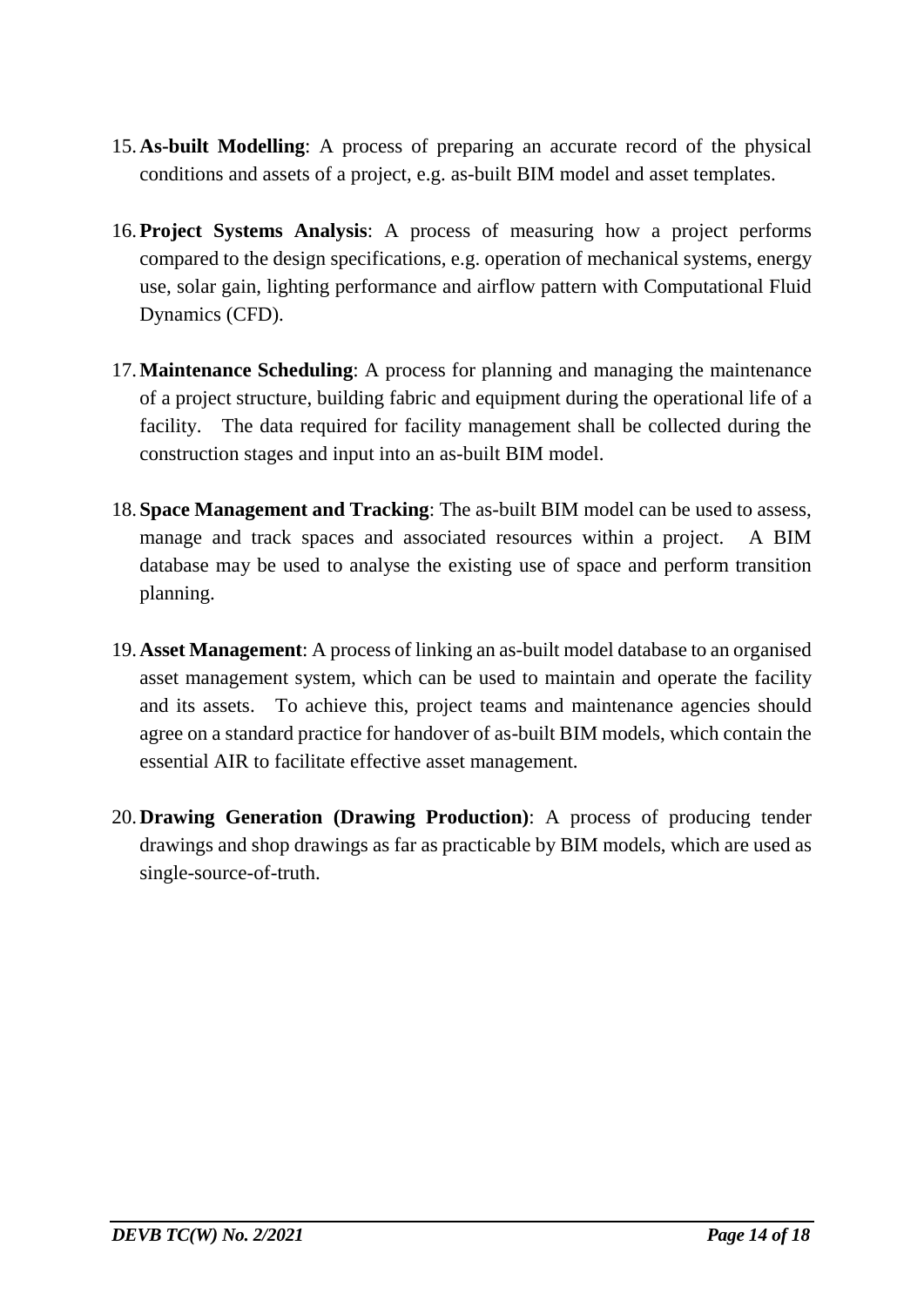- 15.**As-built Modelling**: A process of preparing an accurate record of the physical conditions and assets of a project, e.g. as-built BIM model and asset templates.
- 16.**Project Systems Analysis**: A process of measuring how a project performs compared to the design specifications, e.g. operation of mechanical systems, energy use, solar gain, lighting performance and airflow pattern with Computational Fluid Dynamics (CFD).
- 17.**Maintenance Scheduling**: A process for planning and managing the maintenance of a project structure, building fabric and equipment during the operational life of a facility. The data required for facility management shall be collected during the construction stages and input into an as-built BIM model.
- 18. **Space Management and Tracking**: The as-built BIM model can be used to assess, manage and track spaces and associated resources within a project. A BIM database may be used to analyse the existing use of space and perform transition planning.
- 19.**Asset Management**: A process of linking an as-built model database to an organised asset management system, which can be used to maintain and operate the facility and its assets. To achieve this, project teams and maintenance agencies should agree on a standard practice for handover of as-built BIM models, which contain the essential AIR to facilitate effective asset management.
- 20.**Drawing Generation (Drawing Production)**: A process of producing tender drawings and shop drawings as far as practicable by BIM models, which are used as single-source-of-truth.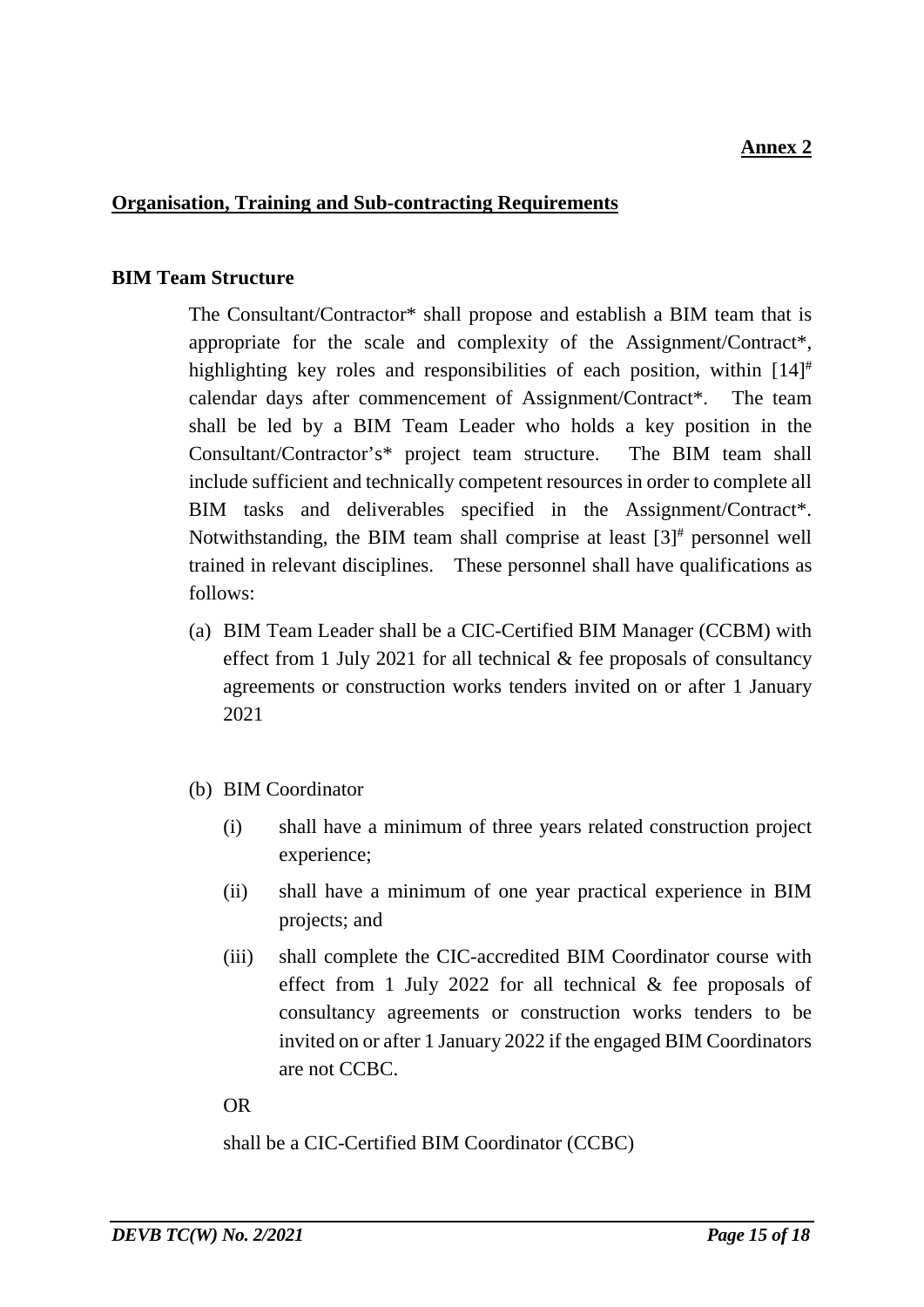#### **Organisation, Training and Sub-contracting Requirements**

#### **BIM Team Structure**

The Consultant/Contractor\* shall propose and establish a BIM team that is appropriate for the scale and complexity of the Assignment/Contract\*, highlighting key roles and responsibilities of each position, within [14]<sup>#</sup> calendar days after commencement of Assignment/Contract\*. The team shall be led by a BIM Team Leader who holds a key position in the Consultant/Contractor's\* project team structure. The BIM team shall include sufficient and technically competent resources in order to complete all BIM tasks and deliverables specified in the Assignment/Contract\*. Notwithstanding, the BIM team shall comprise at least  $[3]^*$  personnel well trained in relevant disciplines. These personnel shall have qualifications as follows:

- (a) BIM Team Leader shall be a CIC-Certified BIM Manager (CCBM) with effect from 1 July 2021 for all technical & fee proposals of consultancy agreements or construction works tenders invited on or after 1 January 2021
- (b) BIM Coordinator
	- (i) shall have a minimum of three years related construction project experience;
	- (ii) shall have a minimum of one year practical experience in BIM projects; and
	- (iii) shall complete the CIC-accredited BIM Coordinator course with effect from 1 July 2022 for all technical & fee proposals of consultancy agreements or construction works tenders to be invited on or after 1 January 2022 if the engaged BIM Coordinators are not CCBC.

#### OR

shall be a CIC-Certified BIM Coordinator (CCBC)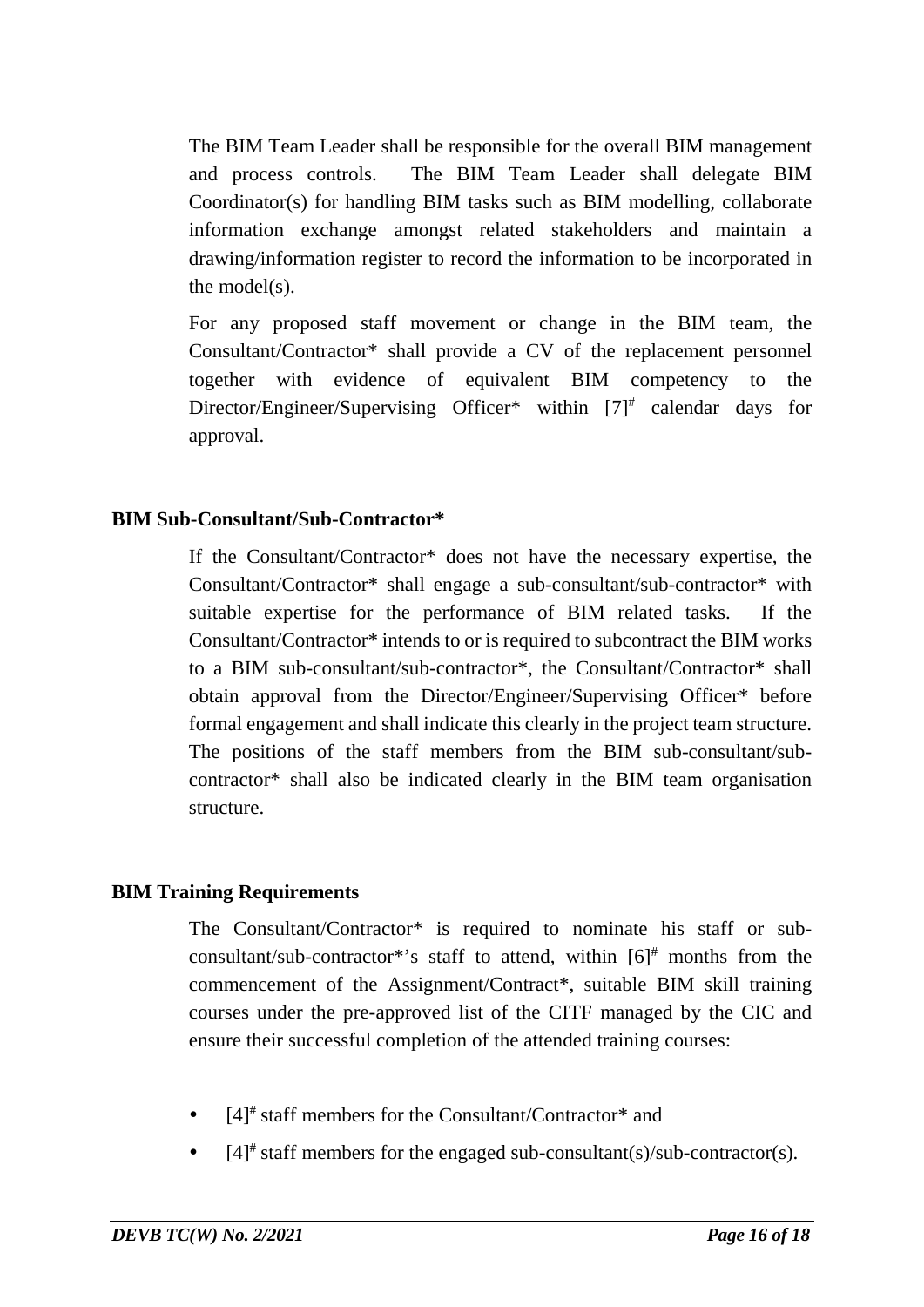The BIM Team Leader shall be responsible for the overall BIM management and process controls. The BIM Team Leader shall delegate BIM Coordinator(s) for handling BIM tasks such as BIM modelling, collaborate information exchange amongst related stakeholders and maintain a drawing/information register to record the information to be incorporated in the model(s).

For any proposed staff movement or change in the BIM team, the Consultant/Contractor\* shall provide a CV of the replacement personnel together with evidence of equivalent BIM competency to the Director/Engineer/Supervising Officer\* within [7]<sup>#</sup> calendar days for approval.

#### **BIM Sub-Consultant/Sub-Contractor\***

If the Consultant/Contractor\* does not have the necessary expertise, the Consultant/Contractor\* shall engage a sub-consultant/sub-contractor\* with suitable expertise for the performance of BIM related tasks. If the Consultant/Contractor\* intends to or is required to subcontract the BIM works to a BIM sub-consultant/sub-contractor\*, the Consultant/Contractor\* shall obtain approval from the Director/Engineer/Supervising Officer\* before formal engagement and shall indicate this clearly in the project team structure. The positions of the staff members from the BIM sub-consultant/subcontractor\* shall also be indicated clearly in the BIM team organisation structure.

#### **BIM Training Requirements**

The Consultant/Contractor\* is required to nominate his staff or subconsultant/sub-contractor\*'s staff to attend, within  $[6]^{\dagger}$  months from the commencement of the Assignment/Contract\*, suitable BIM skill training courses under the pre-approved list of the CITF managed by the CIC and ensure their successful completion of the attended training courses:

- $[4]^*$  staff members for the Consultant/Contractor\* and
- $[4]^*$  staff members for the engaged sub-consultant(s)/sub-contractor(s).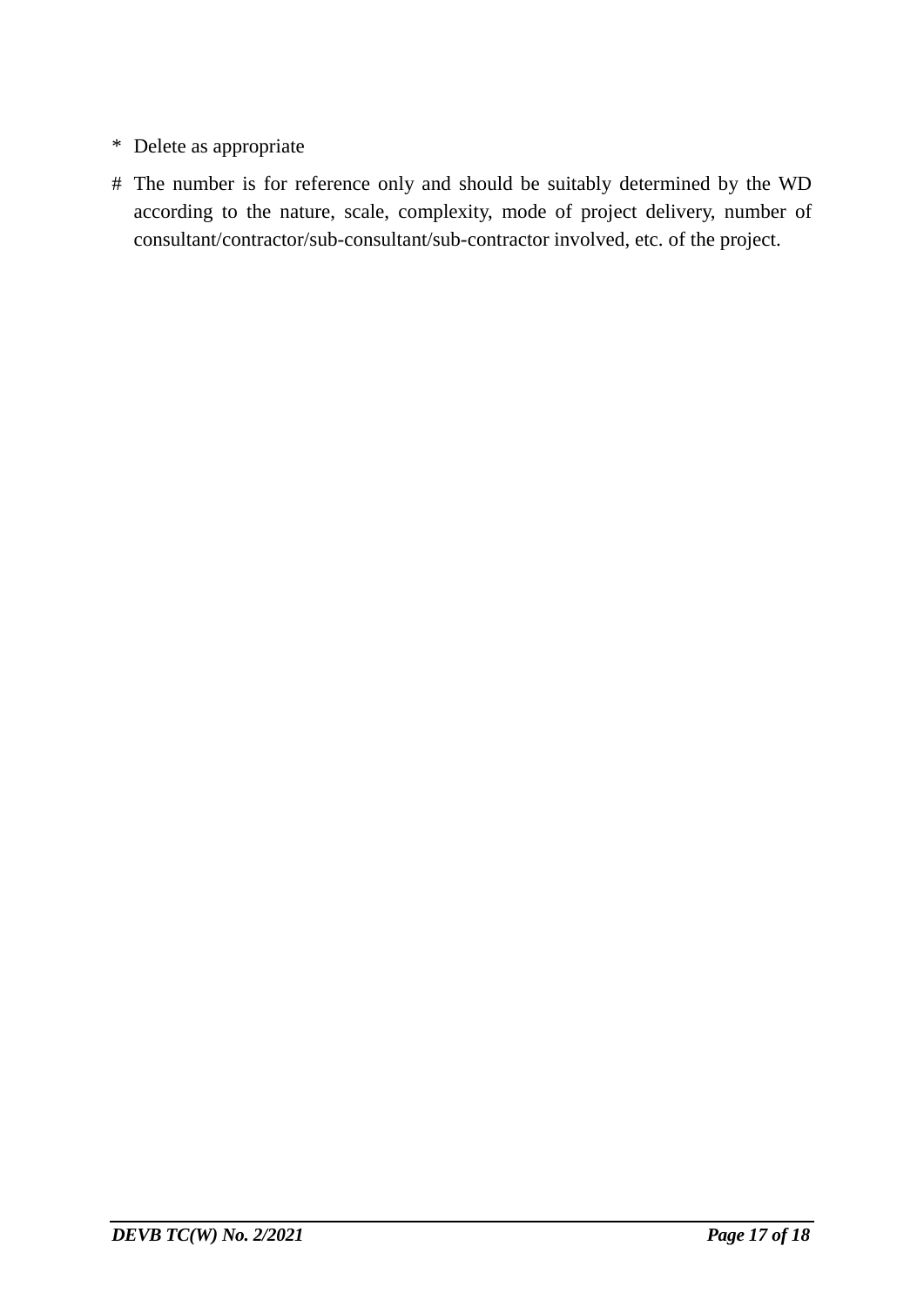- \* Delete as appropriate
- # The number is for reference only and should be suitably determined by the WD according to the nature, scale, complexity, mode of project delivery, number of consultant/contractor/sub-consultant/sub-contractor involved, etc. of the project.